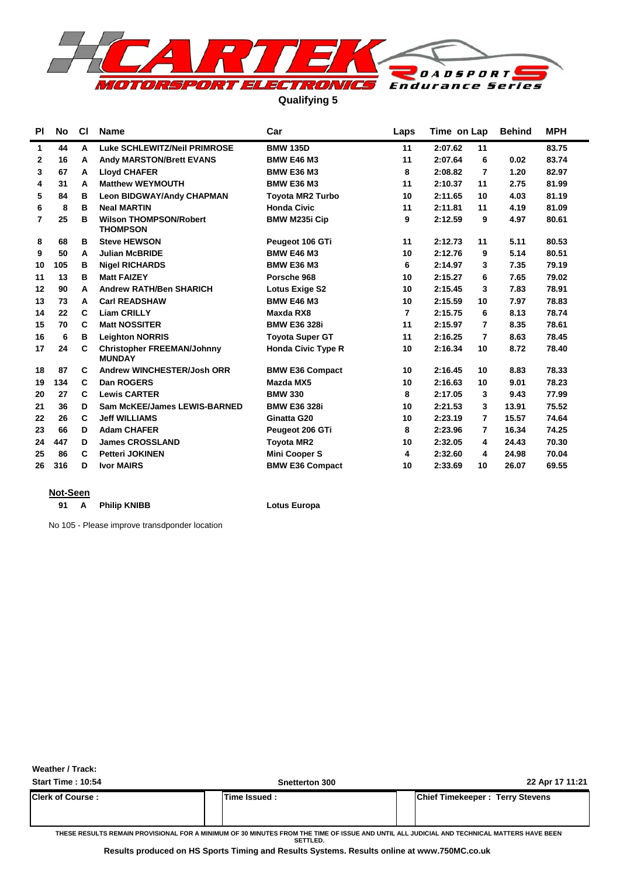

**Qualifying 5**

| <b>PI</b> | No  | <b>CI</b> | <b>Name</b>                                        | Car                       | Laps | Time on Lap               | <b>Behind</b> | <b>MPH</b> |
|-----------|-----|-----------|----------------------------------------------------|---------------------------|------|---------------------------|---------------|------------|
| 1         | 44  | A         | Luke SCHLEWITZ/Neil PRIMROSE                       | <b>BMW 135D</b>           | 11   | 2:07.62<br>11             |               | 83.75      |
| 2         | 16  | A         | <b>Andy MARSTON/Brett EVANS</b>                    | <b>BMW E46 M3</b>         | 11   | 2:07.64<br>6              | 0.02          | 83.74      |
| 3         | 67  | А         | <b>Lloyd CHAFER</b>                                | <b>BMW E36 M3</b>         | 8    | 2:08.82<br>7              | 1.20          | 82.97      |
| 4         | 31  | A         | <b>Matthew WEYMOUTH</b>                            | <b>BMW E36 M3</b>         | 11   | 2:10.37<br>11             | 2.75          | 81.99      |
| 5         | 84  | в         | <b>Leon BIDGWAY/Andy CHAPMAN</b>                   | <b>Toyota MR2 Turbo</b>   | 10   | 2:11.65<br>10             | 4.03          | 81.19      |
| 6         | 8   | в         | <b>Neal MARTIN</b>                                 | <b>Honda Civic</b>        | 11   | 2:11.81<br>11             | 4.19          | 81.09      |
| 7         | 25  | в         | <b>Wilson THOMPSON/Robert</b><br><b>THOMPSON</b>   | <b>BMW M235i Cip</b>      | 9    | 2:12.59<br>9              | 4.97          | 80.61      |
| 8         | 68  | в         | <b>Steve HEWSON</b>                                | Peugeot 106 GTi           | 11   | 2:12.73<br>11             | 5.11          | 80.53      |
| 9         | 50  | A         | <b>Julian McBRIDE</b>                              | <b>BMW E46 M3</b>         | 10   | 2:12.76<br>9              | 5.14          | 80.51      |
| 10        | 105 | В         | <b>Nigel RICHARDS</b>                              | <b>BMW E36 M3</b>         | 6    | 2:14.97<br>3              | 7.35          | 79.19      |
| 11        | 13  | в         | <b>Matt FAIZEY</b>                                 | Porsche 968               | 10   | 2:15.27<br>6              | 7.65          | 79.02      |
| 12        | 90  | A         | <b>Andrew RATH/Ben SHARICH</b>                     | <b>Lotus Exige S2</b>     | 10   | 2:15.45<br>3              | 7.83          | 78.91      |
| 13        | 73  | A         | <b>Carl READSHAW</b>                               | <b>BMW E46 M3</b>         | 10   | 2:15.59<br>10             | 7.97          | 78.83      |
| 14        | 22  | C         | <b>Liam CRILLY</b>                                 | Maxda RX8                 | 7    | 2:15.75<br>6              | 8.13          | 78.74      |
| 15        | 70  | C         | <b>Matt NOSSITER</b>                               | <b>BMW E36 328i</b>       | 11   | 2:15.97<br>7              | 8.35          | 78.61      |
| 16        | 6   | В         | <b>Leighton NORRIS</b>                             | <b>Toyota Super GT</b>    | 11   | $\overline{7}$<br>2:16.25 | 8.63          | 78.45      |
| 17        | 24  | C         | <b>Christopher FREEMAN/Johnny</b><br><b>MUNDAY</b> | <b>Honda Civic Type R</b> | 10   | 2:16.34<br>10             | 8.72          | 78.40      |
| 18        | 87  | C         | Andrew WINCHESTER/Josh ORR                         | <b>BMW E36 Compact</b>    | 10   | 2:16.45<br>10             | 8.83          | 78.33      |
| 19        | 134 | C         | Dan ROGERS                                         | Mazda MX5                 | 10   | 2:16.63<br>10             | 9.01          | 78.23      |
| 20        | 27  | C         | <b>Lewis CARTER</b>                                | <b>BMW 330</b>            | 8    | 2:17.05<br>3              | 9.43          | 77.99      |
| 21        | 36  | D         | Sam McKEE/James LEWIS-BARNED                       | <b>BMW E36 328i</b>       | 10   | 2:21.53<br>3              | 13.91         | 75.52      |
| 22        | 26  | C         | <b>Jeff WILLIAMS</b>                               | Ginatta G20               | 10   | 2:23.19<br>7              | 15.57         | 74.64      |
| 23        | 66  | D         | <b>Adam CHAFER</b>                                 | Peugeot 206 GTi           | 8    | 2:23.96<br>7              | 16.34         | 74.25      |
| 24        | 447 | D         | <b>James CROSSLAND</b>                             | <b>Toyota MR2</b>         | 10   | 2:32.05<br>4              | 24.43         | 70.30      |
| 25        | 86  | C         | <b>Petteri JOKINEN</b>                             | <b>Mini Cooper S</b>      | 4    | 2:32.60<br>4              | 24.98         | 70.04      |
| 26        | 316 | D         | <b>Ivor MAIRS</b>                                  | <b>BMW E36 Compact</b>    | 10   | 2:33.69<br>10             | 26.07         | 69.55      |

#### **Not-Seen**

91 A Philip KNIBB **Lotus Europa** 

No 105 - Please improve transdponder location

**Weather / Track:** 

| <b>Start Time: 10:54</b> | Snetterton 300 | 22 Apr 17 11:21                        |
|--------------------------|----------------|----------------------------------------|
| <b>Clerk of Course:</b>  | lTime Issued : | <b>Chief Timekeeper: Terry Stevens</b> |
|                          |                |                                        |

**THESE RESULTS REMAIN PROVISIONAL FOR A MINIMUM OF 30 MINUTES FROM THE TIME OF ISSUE AND UNTIL ALL JUDICIAL AND TECHNICAL MATTERS HAVE BEEN SETTLED.**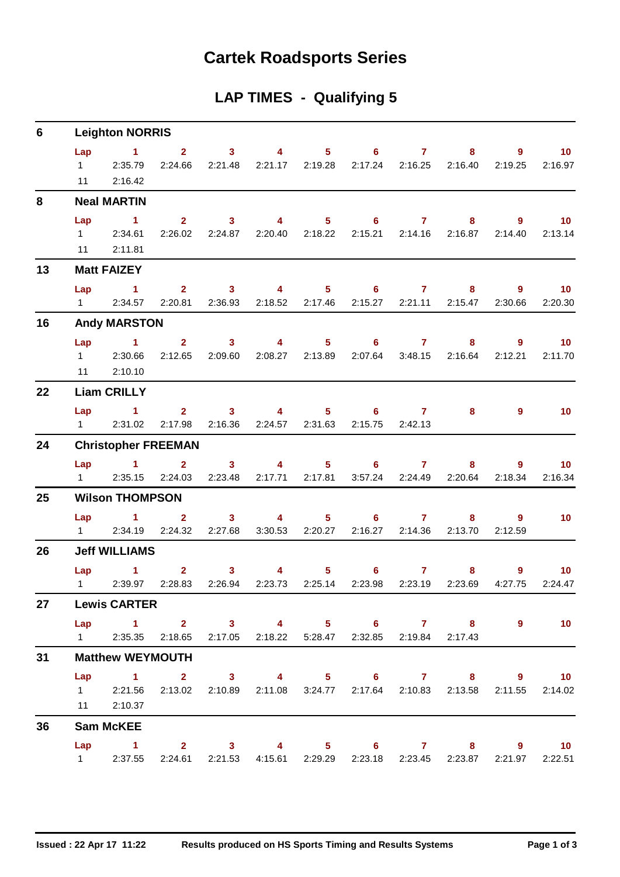# **Cartek Roadsports Series**

# **LAP TIMES - Qualifying 5**

| 6  |                                     | <b>Leighton NORRIS</b>                                                                                        |                         |                           |                           |                 |                                       |                                     |                           |              |                            |
|----|-------------------------------------|---------------------------------------------------------------------------------------------------------------|-------------------------|---------------------------|---------------------------|-----------------|---------------------------------------|-------------------------------------|---------------------------|--------------|----------------------------|
|    | Lap<br>$1 \quad \blacksquare$<br>11 | $\sim$ $\sim$ 1<br>2:35.79<br>2:16.42                                                                         | $\mathbf{2}$<br>2:24.66 | 3 <sup>7</sup><br>2:21.48 | $\overline{\mathbf{4}}$   | 2:21.17 2:19.28 | $5 - 1$<br>6 <sup>1</sup>             | $\mathbf{7}$<br>2:17.24 2:16.25     | 8<br>2:16.40              | 9<br>2:19.25 | 10 <sub>1</sub><br>2:16.97 |
| 8  |                                     | <b>Neal MARTIN</b>                                                                                            |                         |                           |                           |                 |                                       |                                     |                           |              |                            |
|    | Lap                                 | $\blacktriangleleft$                                                                                          | 2 <sup>7</sup>          | 3 <sup>1</sup>            | $\overline{4}$            |                 | $5 - 5$                               | $6 \qquad \qquad$<br>7 <sup>7</sup> | 8                         | $9^{\circ}$  | 10 <sup>°</sup>            |
|    | 11                                  | 1 2:34.61<br>2:11.81                                                                                          | 2:26.02                 |                           | 2:24.87 2:20.40 2:18.22   |                 |                                       |                                     | 2:15.21  2:14.16  2:16.87 | 2:14.40      | 2:13.14                    |
| 13 |                                     | <b>Matt FAIZEY</b>                                                                                            |                         |                           |                           |                 |                                       |                                     |                           |              |                            |
|    | Lap                                 | . 1 .                                                                                                         |                         | $2 \t 3$                  | $\sim$ 4                  |                 | $5 \t\t 6$                            | $\mathbf{7}$                        | 8                         | 9            | $\blacksquare$ 10          |
|    | $1 \quad \Box$                      | 2:34.57                                                                                                       | 2:20.81                 | 2:36.93                   | 2:18.52                   | 2:17.46         | 2:15.27                               | 2:21.11                             | 2:15.47                   | 2:30.66      | 2:20.30                    |
| 16 |                                     | <b>Andy MARSTON</b>                                                                                           |                         |                           |                           |                 |                                       |                                     |                           |              |                            |
|    | Lap                                 | $\sim$ $\sim$ 1                                                                                               | $\overline{2}$          | $\overline{\mathbf{3}}$   | $\overline{\mathbf{4}}$   | 5 <sub>1</sub>  |                                       | $6 \qquad \qquad 7$<br>3:48.15      | $\overline{\mathbf{8}}$   | 9            | 10                         |
|    | $1 \quad \Box$                      | 2:30.66<br>11 2:10.10                                                                                         | 2:12.65                 | 2:09.60                   | 2:08.27                   | 2:13.89         | 2:07.64                               |                                     | 2:16.64                   | 2:12.21      | 2:11.70                    |
| 22 |                                     | <b>Liam CRILLY</b>                                                                                            |                         |                           |                           |                 |                                       |                                     |                           |              |                            |
|    |                                     | Lap 1                                                                                                         |                         | $2 \qquad 3 \qquad 4$     |                           |                 | $5 \t\t 6 \t\t 7$                     |                                     | 8                         | $9^{\circ}$  | 10 <sup>°</sup>            |
|    | $1 \quad \Box$                      | 2:31.02                                                                                                       | 2:17.98                 | 2:16.36                   |                           | 2:24.57 2:31.63 | 2:15.75                               | 2:42.13                             |                           |              |                            |
| 24 |                                     | <b>Christopher FREEMAN</b>                                                                                    |                         |                           |                           |                 |                                       |                                     |                           |              |                            |
|    | Lap<br>$1 \quad$                    | $\sim$ $\sim$ 1<br>2:35.15                                                                                    | $\mathbf{2}$<br>2:24.03 | $\mathbf{3}$<br>2:23.48   | $\overline{4}$<br>2:17.71 | 2:17.81         | $5^{\circ}$<br>$6^{\circ}$<br>3:57.24 | $\mathbf{7}$<br>2:24.49             | 8<br>2:20.64              | 9<br>2:18.34 | 10 <sup>°</sup><br>2:16.34 |
| 25 |                                     | <b>Wilson THOMPSON</b>                                                                                        |                         |                           |                           |                 |                                       |                                     |                           |              |                            |
|    | Lap                                 | $\sim$ $-1$                                                                                                   | 2 <sup>1</sup>          | 3 <sup>7</sup>            | $\overline{\mathbf{4}}$   |                 | $5^{\circ}$                           | $6 \qquad \qquad$<br>7 <sup>7</sup> | 8                         | 9            | 10                         |
|    | $1 \quad \blacksquare$              |                                                                                                               | 2:34.19 2:24.32         | 2:27.68                   |                           | 3:30.53 2:20.27 | 2:16.27                               | 2:14.36                             | 2:13.70                   | 2:12.59      |                            |
| 26 |                                     | <b>Jeff WILLIAMS</b>                                                                                          |                         |                           |                           |                 |                                       |                                     |                           |              |                            |
|    |                                     | <b>Lap</b><br>$\blacktriangleleft$                                                                            | $\mathbf{2}$            | $\mathbf{3}$              | $\overline{4}$            | 5 <sub>1</sub>  | $6^{\circ}$                           | $\mathbf{7}$                        | 8                         | 9            | 10 <sup>°</sup>            |
|    |                                     | 1 2:39.97 2:28.83                                                                                             |                         | 2:26.94                   |                           | 2:23.73 2:25.14 | 2:23.98                               | 2:23.19                             | 2:23.69                   | 4:27.75      | 2:24.47                    |
| 27 |                                     | <b>Lewis CARTER</b>                                                                                           |                         |                           |                           |                 |                                       |                                     |                           |              |                            |
|    |                                     | Lap 1 2 3 4 5 6 7 8 9<br>1 2:35.35 2:18.65 2:17.05 2:18.22 5:28.47 2:32.85 2:19.84 2:17.43                    |                         |                           |                           |                 |                                       |                                     |                           |              | 10                         |
| 31 |                                     | <b>Matthew WEYMOUTH</b>                                                                                       |                         |                           |                           |                 |                                       |                                     |                           |              |                            |
|    |                                     | Lap 1 2 3 4 5 6 7 8 9 10                                                                                      |                         |                           |                           |                 |                                       |                                     |                           |              |                            |
|    |                                     | 1 2:21.56 2:13.02 2:10.89 2:11.08 3:24.77 2:17.64 2:10.83 2:13.58 2:11.55 2:14.02                             |                         |                           |                           |                 |                                       |                                     |                           |              |                            |
|    |                                     | 11 2:10.37                                                                                                    |                         |                           |                           |                 |                                       |                                     |                           |              |                            |
| 36 |                                     | <b>Sam McKEE</b>                                                                                              |                         |                           |                           |                 |                                       |                                     |                           |              |                            |
|    |                                     | Lap 1 2 3 4 5 6 7 8 9 10<br>1 2:37.55 2:24.61 2:21.53 4:15.61 2:29.29 2:23.18 2:23.45 2:23.87 2:21.97 2:22.51 |                         |                           |                           |                 |                                       |                                     |                           |              |                            |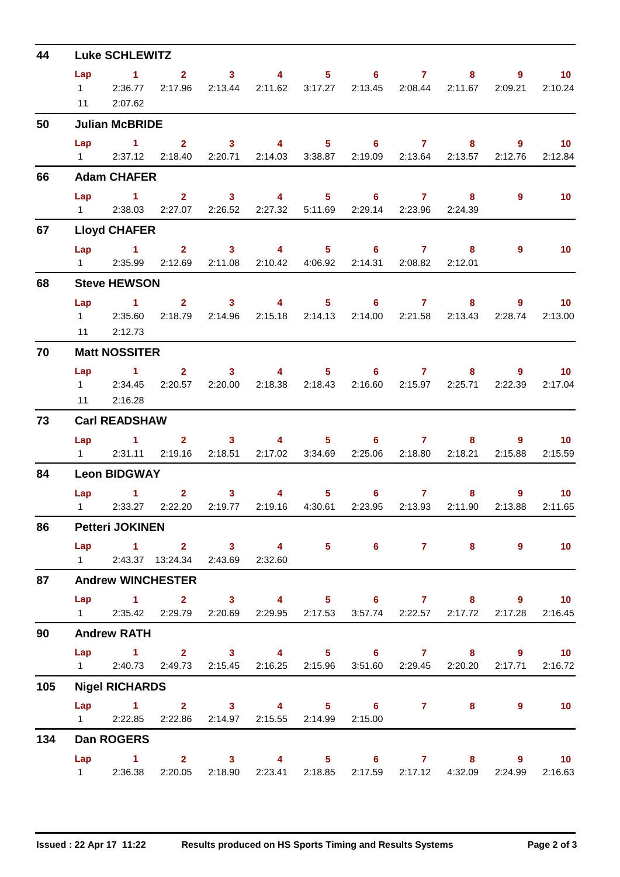| 44  |                | <b>Luke SCHLEWITZ</b>                                                                                                         |                                                                               |                                                                                                                                                                                                                                                                                                                                                                                                       |          |                                                      |                         |              |         |                                   |
|-----|----------------|-------------------------------------------------------------------------------------------------------------------------------|-------------------------------------------------------------------------------|-------------------------------------------------------------------------------------------------------------------------------------------------------------------------------------------------------------------------------------------------------------------------------------------------------------------------------------------------------------------------------------------------------|----------|------------------------------------------------------|-------------------------|--------------|---------|-----------------------------------|
|     | Lap            | $\sim$ 1.                                                                                                                     | 2 3 4 5 6 7                                                                   |                                                                                                                                                                                                                                                                                                                                                                                                       |          |                                                      |                         |              | $8 - 1$ | 10 <sub>1</sub><br>$9 \leftarrow$ |
|     | 11             | 12:36.77<br>2:07.62                                                                                                           | 2:17.96                                                                       |                                                                                                                                                                                                                                                                                                                                                                                                       |          | 2:13.44  2:11.62  3:17.27  2:13.45  2:08.44  2:11.67 |                         |              | 2:09.21 | 2:10.24                           |
| 50  |                | <b>Julian McBRIDE</b>                                                                                                         |                                                                               |                                                                                                                                                                                                                                                                                                                                                                                                       |          |                                                      |                         |              |         |                                   |
|     |                |                                                                                                                               | Lap 1 2 3 4 5 6 7 8                                                           |                                                                                                                                                                                                                                                                                                                                                                                                       |          |                                                      |                         |              |         | $9$ 10                            |
|     |                |                                                                                                                               | 1 2:37.12 2:18.40 2:20.71 2:14.03 3:38.87 2:19.09 2:13.64 2:13.57 2:12.76     |                                                                                                                                                                                                                                                                                                                                                                                                       |          |                                                      |                         |              |         | 2:12.84                           |
| 66  |                | <b>Adam CHAFER</b>                                                                                                            |                                                                               |                                                                                                                                                                                                                                                                                                                                                                                                       |          |                                                      |                         |              |         |                                   |
|     | Lap            |                                                                                                                               | 1 2 3 4 5 6 7 8                                                               |                                                                                                                                                                                                                                                                                                                                                                                                       |          |                                                      |                         |              | 9       | 10 <sup>°</sup>                   |
|     |                |                                                                                                                               | 1 2:38.03 2:27.07 2:26.52 2:27.32 5:11.69                                     |                                                                                                                                                                                                                                                                                                                                                                                                       |          |                                                      | 2:29.14 2:23.96 2:24.39 |              |         |                                   |
| 67  |                | <b>Lloyd CHAFER</b>                                                                                                           |                                                                               |                                                                                                                                                                                                                                                                                                                                                                                                       |          |                                                      |                         |              |         |                                   |
|     |                | 1 2:35.99                                                                                                                     | Lap 1 2 3 4 5 6 7<br>2:12.69                                                  |                                                                                                                                                                                                                                                                                                                                                                                                       |          | 2:11.08  2:10.42  4:06.92  2:14.31  2:08.82          |                         | 8<br>2:12.01 | 9       | 10                                |
| 68  |                | <b>Steve HEWSON</b>                                                                                                           |                                                                               |                                                                                                                                                                                                                                                                                                                                                                                                       |          |                                                      |                         |              |         |                                   |
|     |                |                                                                                                                               | Lap 1 2 3 4 5 6 7 8                                                           |                                                                                                                                                                                                                                                                                                                                                                                                       |          |                                                      |                         |              |         | $9 \t 10$                         |
|     |                | 1 2:35.60                                                                                                                     | 2:18.79  2:14.96  2:15.18  2:14.13  2:14.00  2:21.58  2:13.43  2:28.74        |                                                                                                                                                                                                                                                                                                                                                                                                       |          |                                                      |                         |              |         | 2:13.00                           |
|     |                | 11 2:12.73                                                                                                                    |                                                                               |                                                                                                                                                                                                                                                                                                                                                                                                       |          |                                                      |                         |              |         |                                   |
| 70  |                | <b>Matt NOSSITER</b>                                                                                                          |                                                                               |                                                                                                                                                                                                                                                                                                                                                                                                       |          |                                                      |                         |              |         |                                   |
|     | Lap            |                                                                                                                               | 1 2 3 4 5 6 7 8                                                               |                                                                                                                                                                                                                                                                                                                                                                                                       |          |                                                      |                         |              |         | $9 \qquad \qquad$<br>10           |
|     | 11             | 2:16.28                                                                                                                       | 1 2:34.45 2:20.57 2:20.00 2:18.38 2:18.43 2:16.60 2:15.97 2:25.71 2:22.39     |                                                                                                                                                                                                                                                                                                                                                                                                       |          |                                                      |                         |              |         | 2:17.04                           |
| 73  |                | <b>Carl READSHAW</b>                                                                                                          |                                                                               |                                                                                                                                                                                                                                                                                                                                                                                                       |          |                                                      |                         |              |         |                                   |
|     |                | $Lap = 1$                                                                                                                     |                                                                               |                                                                                                                                                                                                                                                                                                                                                                                                       |          | 2 3 4 5 6 7 8                                        |                         |              |         | $9 \t 10$                         |
|     | $1 \quad \Box$ |                                                                                                                               | 2:31.11 2:19.16 2:18.51 2:17.02 3:34.69                                       |                                                                                                                                                                                                                                                                                                                                                                                                       |          |                                                      | 2:25.06 2:18.80 2:18.21 |              | 2:15.88 | 2:15.59                           |
| 84  |                | <b>Leon BIDGWAY</b>                                                                                                           |                                                                               |                                                                                                                                                                                                                                                                                                                                                                                                       |          |                                                      |                         |              |         |                                   |
|     |                | $\mathbf{1}$<br>Lap in the set of the set of the set of the set of the set of the set of the set of the set of the set of the |                                                                               | $\overline{\mathbf{2}}$ and $\overline{\mathbf{2}}$ and $\overline{\mathbf{2}}$ and $\overline{\mathbf{2}}$ and $\overline{\mathbf{2}}$ and $\overline{\mathbf{2}}$ and $\overline{\mathbf{2}}$ and $\overline{\mathbf{2}}$ and $\overline{\mathbf{2}}$ and $\overline{\mathbf{2}}$ and $\overline{\mathbf{2}}$ and $\overline{\mathbf{2}}$ and $\overline{\mathbf{2}}$ and $\overline{\mathbf{2}}$ a | $3 \t 4$ | $5 \t\t 6 \t\t 7$                                    |                         |              | $8 - 1$ | $9^{\circ}$<br>10 <sup>°</sup>    |
|     |                |                                                                                                                               | 1 2:33.27 2:22.20                                                             |                                                                                                                                                                                                                                                                                                                                                                                                       |          | 2:19.77  2:19.16  4:30.61  2:23.95  2:13.93  2:11.90 |                         |              | 2:13.88 | 2:11.65                           |
| 86  |                | <b>Petteri JOKINEN</b>                                                                                                        |                                                                               |                                                                                                                                                                                                                                                                                                                                                                                                       |          |                                                      |                         |              |         |                                   |
|     |                |                                                                                                                               | Lap 1 2 3 4 5 6 7 8 9 10<br>1 2:43.37 13:24.34 2:43.69 2:32.60                |                                                                                                                                                                                                                                                                                                                                                                                                       |          |                                                      |                         |              |         |                                   |
| 87  |                |                                                                                                                               | <b>Andrew WINCHESTER</b>                                                      |                                                                                                                                                                                                                                                                                                                                                                                                       |          |                                                      |                         |              |         |                                   |
|     |                |                                                                                                                               | Lap 1 2 3 4 5 6 7 8 9 10                                                      |                                                                                                                                                                                                                                                                                                                                                                                                       |          |                                                      |                         |              |         |                                   |
|     |                |                                                                                                                               | 1 2:35.42 2:29.79 2:20.69 2:29.95 2:17.53 3:57.74 2:22.57 2:17.72 2:17.28     |                                                                                                                                                                                                                                                                                                                                                                                                       |          |                                                      |                         |              |         | 2:16.45                           |
| 90  |                | <b>Andrew RATH</b>                                                                                                            |                                                                               |                                                                                                                                                                                                                                                                                                                                                                                                       |          |                                                      |                         |              |         |                                   |
|     |                |                                                                                                                               | Lap 1 2 3 4 5 6 7 8 9 10                                                      |                                                                                                                                                                                                                                                                                                                                                                                                       |          |                                                      |                         |              |         |                                   |
|     |                |                                                                                                                               | 1 2:40.73 2:49.73 2:15.45 2:16.25 2:15.96 3:51.60 2:29.45 2:20.20 2:17.71     |                                                                                                                                                                                                                                                                                                                                                                                                       |          |                                                      |                         |              |         | 2:16.72                           |
| 105 |                | <b>Nigel RICHARDS</b>                                                                                                         |                                                                               |                                                                                                                                                                                                                                                                                                                                                                                                       |          |                                                      |                         |              |         |                                   |
|     |                |                                                                                                                               | Lap 1 2 3 4 5 6 7 8 9 10<br>1 2:22.85 2:22.86 2:14.97 2:15.55 2:14.99 2:15.00 |                                                                                                                                                                                                                                                                                                                                                                                                       |          |                                                      |                         |              |         |                                   |
| 134 |                | <b>Dan ROGERS</b>                                                                                                             |                                                                               |                                                                                                                                                                                                                                                                                                                                                                                                       |          |                                                      |                         |              |         |                                   |
|     |                |                                                                                                                               | Lap 1 2 3 4 5 6 7 8 9 10                                                      |                                                                                                                                                                                                                                                                                                                                                                                                       |          |                                                      |                         |              |         |                                   |
|     |                |                                                                                                                               | 1 2:36.38 2:20.05 2:18.90 2:23.41 2:18.85 2:17.59 2:17.12 4:32.09             |                                                                                                                                                                                                                                                                                                                                                                                                       |          |                                                      |                         |              | 2:24.99 | 2:16.63                           |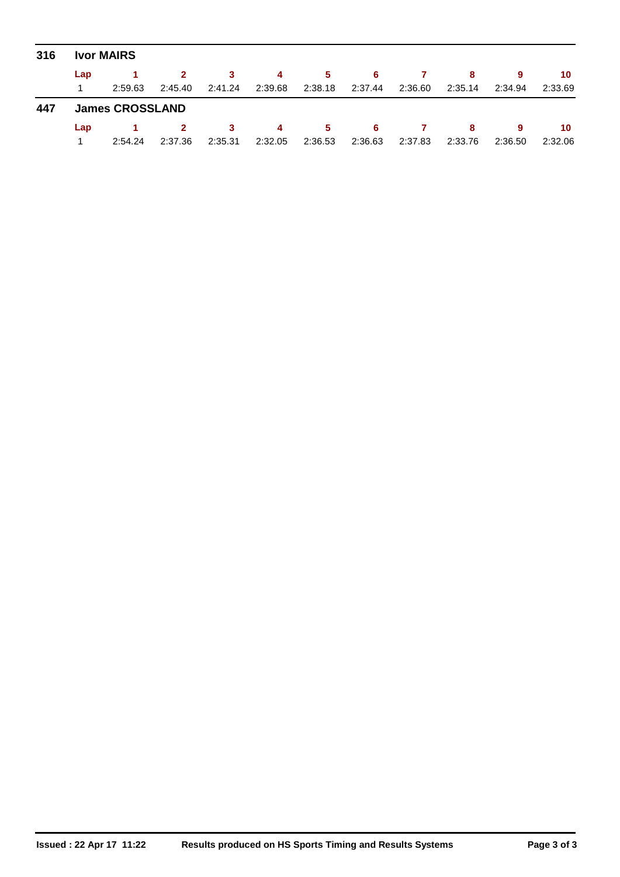| 316 | <b>Ivor MAIRS</b>      |         |              |         |                |         |         |         |         |         |         |  |  |  |  |
|-----|------------------------|---------|--------------|---------|----------------|---------|---------|---------|---------|---------|---------|--|--|--|--|
|     | Lap                    |         | $\mathbf{2}$ | -3.     | $\overline{4}$ | 5.      | -6      |         | -8      | 9       | 10      |  |  |  |  |
|     |                        | 2:59.63 | 2:45.40      | 2:41.24 | 2:39.68        | 2:38.18 | 2:37.44 | 2:36.60 | 2:35.14 | 2:34.94 | 2:33.69 |  |  |  |  |
| 447 | <b>James CROSSLAND</b> |         |              |         |                |         |         |         |         |         |         |  |  |  |  |
|     | Lap                    |         | $\mathbf{2}$ | 3       | $\overline{4}$ | 5.      | -6      |         | 8       | 9       | 10      |  |  |  |  |
|     |                        | 2:54.24 | 2:37.36      | 2:35.31 | 2:32.05        | 2:36.53 | 2:36.63 | 2:37.83 | 2:33.76 | 2:36.50 | 2:32.06 |  |  |  |  |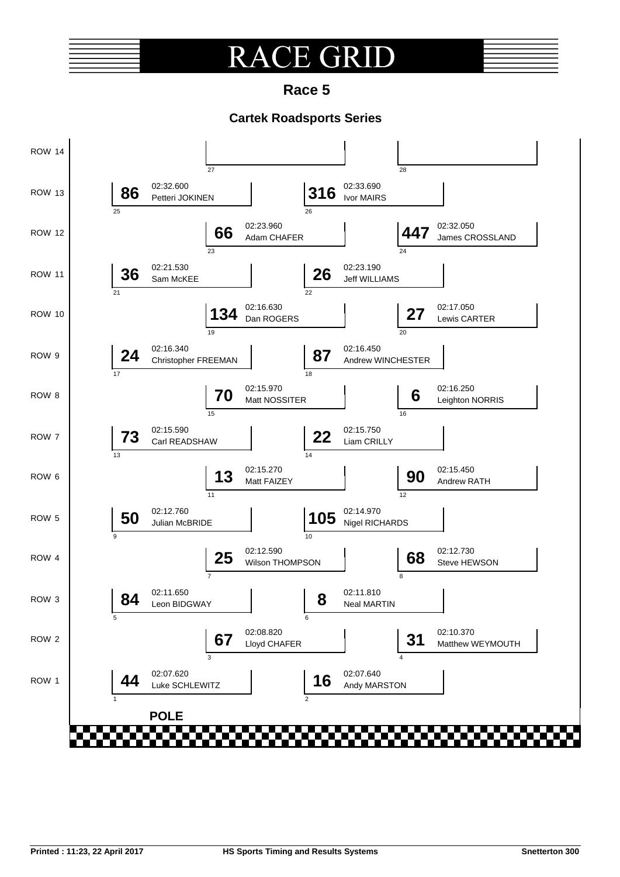## **E** GRI  $\pmb{\mathrm{R}}$

**Race 5**

### **Cartek Roadsports Series**

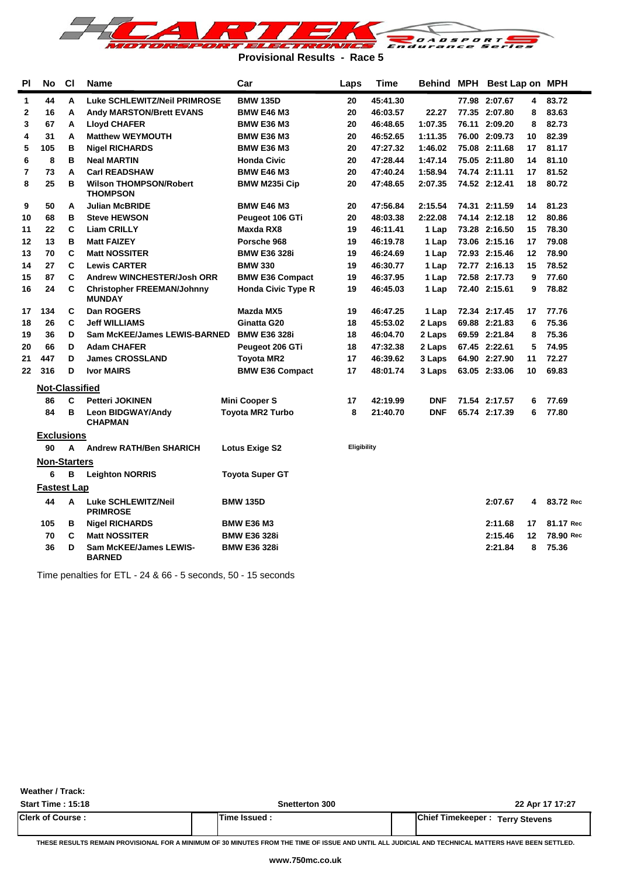

**Provisional Results - Race 5**

| ΡI           | No                    | <b>CI</b> | Name                                               | Car                       | Laps        | Time     | Behind     | MPH | Best Lap on MPH |    |           |
|--------------|-----------------------|-----------|----------------------------------------------------|---------------------------|-------------|----------|------------|-----|-----------------|----|-----------|
| $\mathbf{1}$ | 44                    | A         | Luke SCHLEWITZ/Neil PRIMROSE                       | <b>BMW 135D</b>           | 20          | 45:41.30 |            |     | 77.98 2:07.67   | 4  | 83.72     |
| $\mathbf{2}$ | 16                    | A         | <b>Andy MARSTON/Brett EVANS</b>                    | <b>BMW E46 M3</b>         | 20          | 46:03.57 | 22.27      |     | 77.35 2:07.80   | 8  | 83.63     |
| 3            | 67                    | A         | <b>Lloyd CHAFER</b>                                | <b>BMW E36 M3</b>         | 20          | 46:48.65 | 1:07.35    |     | 76.11 2:09.20   | 8  | 82.73     |
| 4            | 31                    | A         | <b>Matthew WEYMOUTH</b>                            | <b>BMW E36 M3</b>         | 20          | 46:52.65 | 1:11.35    |     | 76.00 2:09.73   | 10 | 82.39     |
| 5            | 105                   | В         | <b>Nigel RICHARDS</b>                              | <b>BMW E36 M3</b>         | 20          | 47:27.32 | 1:46.02    |     | 75.08 2:11.68   | 17 | 81.17     |
| 6            | 8                     | B         | <b>Neal MARTIN</b>                                 | <b>Honda Civic</b>        | 20          | 47:28.44 | 1:47.14    |     | 75.05 2:11.80   | 14 | 81.10     |
| 7            | 73                    | A         | <b>Carl READSHAW</b>                               | <b>BMW E46 M3</b>         | 20          | 47:40.24 | 1:58.94    |     | 74.74 2:11.11   | 17 | 81.52     |
| 8            | 25                    | в         | <b>Wilson THOMPSON/Robert</b><br><b>THOMPSON</b>   | <b>BMW M235i Cip</b>      | 20          | 47:48.65 | 2:07.35    |     | 74.52 2:12.41   | 18 | 80.72     |
| 9            | 50                    | A         | <b>Julian McBRIDE</b>                              | <b>BMW E46 M3</b>         | 20          | 47:56.84 | 2:15.54    |     | 74.31 2:11.59   | 14 | 81.23     |
| 10           | 68                    | в         | <b>Steve HEWSON</b>                                | Peugeot 106 GTi           | 20          | 48:03.38 | 2:22.08    |     | 74.14 2:12.18   | 12 | 80.86     |
| 11           | 22                    | C         | <b>Liam CRILLY</b>                                 | Maxda RX8                 | 19          | 46:11.41 | 1 Lap      |     | 73.28 2:16.50   | 15 | 78.30     |
| 12           | 13                    | B         | <b>Matt FAIZEY</b>                                 | Porsche 968               | 19          | 46:19.78 | 1 Lap      |     | 73.06 2:15.16   | 17 | 79.08     |
| 13           | 70                    | C         | <b>Matt NOSSITER</b>                               | <b>BMW E36 328i</b>       | 19          | 46:24.69 | 1 Lap      |     | 72.93 2:15.46   | 12 | 78.90     |
| 14           | 27                    | C         | <b>Lewis CARTER</b>                                | <b>BMW 330</b>            | 19          | 46:30.77 | 1 Lap      |     | 72.77 2:16.13   | 15 | 78.52     |
| 15           | 87                    | C         | <b>Andrew WINCHESTER/Josh ORR</b>                  | <b>BMW E36 Compact</b>    | 19          | 46:37.95 | 1 Lap      |     | 72.58 2:17.73   | 9  | 77.60     |
| 16           | 24                    | C         | <b>Christopher FREEMAN/Johnny</b><br><b>MUNDAY</b> | <b>Honda Civic Type R</b> | 19          | 46:45.03 | 1 Lap      |     | 72.40 2:15.61   | 9  | 78.82     |
| 17           | 134                   | С         | Dan ROGERS                                         | Mazda MX5                 | 19          | 46:47.25 | 1 Lap      |     | 72.34 2:17.45   | 17 | 77.76     |
| 18           | 26                    | C         | <b>Jeff WILLIAMS</b>                               | Ginatta G20               | 18          | 45:53.02 | 2 Laps     |     | 69.88 2:21.83   | 6  | 75.36     |
| 19           | 36                    | D         | <b>Sam McKEE/James LEWIS-BARNED</b>                | <b>BMW E36 328i</b>       | 18          | 46:04.70 | 2 Laps     |     | 69.59 2:21.84   | 8  | 75.36     |
| 20           | 66                    | D         | <b>Adam CHAFER</b>                                 | Peugeot 206 GTi           | 18          | 47:32.38 | 2 Laps     |     | 67.45 2:22.61   | 5  | 74.95     |
| 21           | 447                   | D         | <b>James CROSSLAND</b>                             | Toyota MR2                | 17          | 46:39.62 | 3 Laps     |     | 64.90 2:27.90   | 11 | 72.27     |
| 22           | 316                   | D         | <b>Ivor MAIRS</b>                                  | <b>BMW E36 Compact</b>    | 17          | 48:01.74 | 3 Laps     |     | 63.05 2:33.06   | 10 | 69.83     |
|              | <b>Not-Classified</b> |           |                                                    |                           |             |          |            |     |                 |    |           |
|              | 86                    | C         | <b>Petteri JOKINEN</b>                             | <b>Mini Cooper S</b>      | 17          | 42:19.99 | <b>DNF</b> |     | 71.54 2:17.57   | 6  | 77.69     |
|              | 84                    | в         | <b>Leon BIDGWAY/Andy</b><br><b>CHAPMAN</b>         | <b>Toyota MR2 Turbo</b>   | 8           | 21:40.70 | <b>DNF</b> |     | 65.74 2:17.39   | 6  | 77.80     |
|              | <b>Exclusions</b>     |           |                                                    |                           |             |          |            |     |                 |    |           |
|              | 90                    | A         | <b>Andrew RATH/Ben SHARICH</b>                     | <b>Lotus Exige S2</b>     | Eligibility |          |            |     |                 |    |           |
|              | <b>Non-Starters</b>   |           |                                                    |                           |             |          |            |     |                 |    |           |
|              | 6                     | в         | <b>Leighton NORRIS</b>                             | <b>Toyota Super GT</b>    |             |          |            |     |                 |    |           |
|              | <b>Fastest Lap</b>    |           |                                                    |                           |             |          |            |     |                 |    |           |
|              | 44                    | A         | <b>Luke SCHLEWITZ/Neil</b><br><b>PRIMROSE</b>      | <b>BMW 135D</b>           |             |          |            |     | 2:07.67         | 4  | 83.72 Rec |
|              | 105                   | в         | <b>Nigel RICHARDS</b>                              | <b>BMW E36 M3</b>         |             |          |            |     | 2:11.68         | 17 | 81.17 Rec |
|              | 70                    | C         | <b>Matt NOSSITER</b>                               | <b>BMW E36 328i</b>       |             |          |            |     | 2:15.46         | 12 | 78.90 Rec |
|              | 36                    | D         | <b>Sam McKEE/James LEWIS-</b><br><b>BARNED</b>     | <b>BMW E36 328i</b>       |             |          |            |     | 2:21.84         | 8  | 75.36     |

Time penalties for ETL - 24 & 66 - 5 seconds, 50 - 15 seconds

**Weather / Track:** 

| <b>Start Time: 15:18</b> | Snetterton 300 | 22 Apr 17 17:27                         |
|--------------------------|----------------|-----------------------------------------|
| <b>Clerk of Course:</b>  | Time Issued    | <b>IChief Timekeeper: Terry Stevens</b> |

**THESE RESULTS REMAIN PROVISIONAL FOR A MINIMUM OF 30 MINUTES FROM THE TIME OF ISSUE AND UNTIL ALL JUDICIAL AND TECHNICAL MATTERS HAVE BEEN SETTLED.**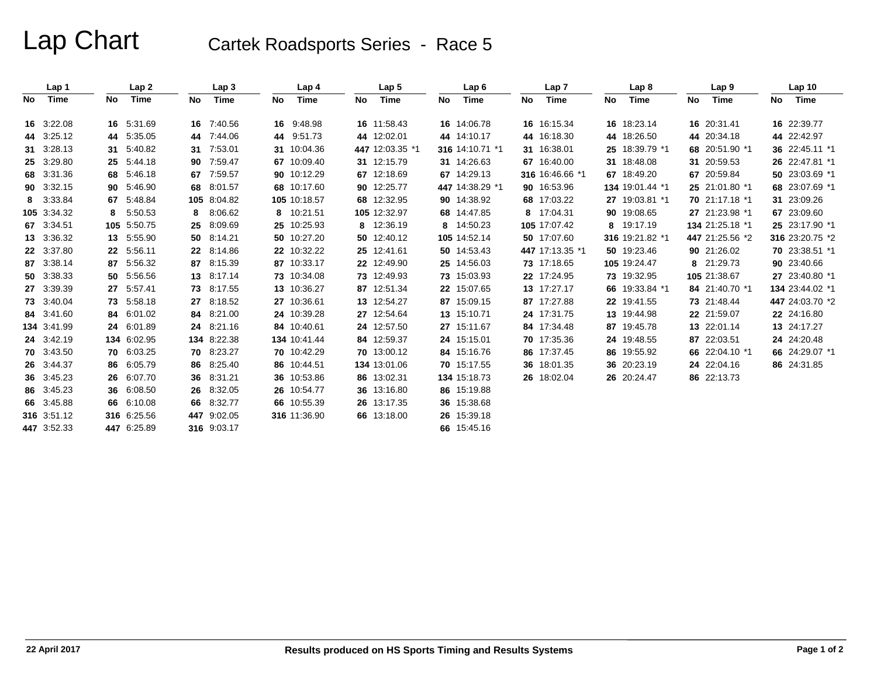# Lap Chart Cartek Roadsports Series - Race 5

|    | Lap 1       |    | Lap2        |     | Lap <sub>3</sub> |    | Lap 4        |    | Lap <sub>5</sub> |     | Lap6            |    | Lap 7           |    | Lap <sub>8</sub> |    | Lap <sub>9</sub> |    | Lap <sub>10</sub> |
|----|-------------|----|-------------|-----|------------------|----|--------------|----|------------------|-----|-----------------|----|-----------------|----|------------------|----|------------------|----|-------------------|
| No | Time        | No | Time        | No  | Time             | No | Time         | No | Time             | No. | Time            | No | Time            | No | Time             | No | Time             | No | Time              |
|    | 16 3:22.08  |    | 16 5:31.69  |     | 16 7:40.56       |    | 16 9:48.98   |    | 16 11:58.43      |     | 16 14:06.78     |    | 16 16:15.34     |    | 16 18:23.14      |    | 16 20:31.41      |    | 16 22:39.77       |
|    | 44 3:25.12  |    | 44 5:35.05  | 44  | 7:44.06          | 44 | 9:51.73      |    | 44 12:02.01      |     | 44 14:10.17     |    | 44 16:18.30     |    | 44 18:26.50      |    | 44 20:34.18      |    | 44 22:42.97       |
|    | 31 3:28.13  |    | 31 5:40.82  |     |                  |    | 10:04.36     |    | 447 12:03.35 *1  |     | 316 14:10.71 *1 |    | 31 16:38.01     |    | 25 18:39.79 *1   |    | 68 20:51.90 *1   |    | 36 22:45.11 *1    |
|    |             |    |             | 31  | 7:53.01          | 31 |              |    |                  |     |                 |    |                 |    |                  |    |                  |    |                   |
|    | 25 3:29.80  |    | 25 5:44.18  |     | 90 7:59.47       |    | 67 10:09.40  |    | 31 12:15.79      |     | 31 14:26.63     |    | 67 16:40.00     |    | 31 18:48.08      |    | 31 20:59.53      |    | 26 22:47.81 *1    |
|    | 68 3:31.36  |    | 68 5:46.18  | 67  | 7:59.57          |    | 90 10:12.29  |    | 67 12:18.69      |     | 67 14:29.13     |    | 316 16:46.66 *1 |    | 67 18:49.20      | 67 | 20:59.84         |    | 50 23:03.69 *1    |
|    | 90 3:32.15  |    | 90 5:46.90  | 68  | 8:01.57          |    | 68 10:17.60  |    | 90 12:25.77      |     | 447 14:38.29 *1 |    | 90 16:53.96     |    | 134 19:01.44 *1  |    | 25 21:01.80 *1   |    | 68 23:07.69 *1    |
|    | 8 3:33.84   |    | 67 5:48.84  |     | 105 8:04.82      |    | 105 10:18.57 |    | 68 12:32.95      |     | 90 14:38.92     |    | 68 17:03.22     |    | 27 19:03.81 *1   |    | 70 21:17.18 *1   |    | 31 23:09.26       |
|    | 105 3:34.32 | 8  | 5:50.53     | 8   | 8:06.62          |    | 8 10:21.51   |    | 105 12:32.97     |     | 68 14:47.85     |    | 8 17:04.31      |    | 90 19:08.65      |    | 27 21:23.98 *1   |    | 67 23:09.60       |
|    | 67 3:34.51  |    | 105 5:50.75 | 25  | 8:09.69          |    | 25 10:25.93  |    | 8 12:36.19       |     | 8 14:50.23      |    | 105 17:07.42    |    | 8 19:17.19       |    | 134 21:25.18 *1  |    | 25 23:17.90 *1    |
|    | 13 3:36.32  |    | 13 5:55.90  |     | 50 8:14.21       |    | 50 10:27.20  |    | 50 12:40.12      |     | 105 14:52.14    |    | 50 17:07.60     |    | 316 19:21.82 *1  |    | 447 21:25.56 *2  |    | 316 23:20.75 *2   |
|    | 22 3:37.80  |    | 22 5:56.11  |     | 22 8:14.86       |    | 22 10:32.22  |    | 25 12:41.61      |     | 50 14:53.43     |    | 447 17:13.35 *1 |    | 50 19:23.46      |    | 90 21:26.02      |    | 70 23:38.51 *1    |
|    | 87 3:38.14  |    | 87 5:56.32  | 87  | 8:15.39          |    | 87 10:33.17  |    | 22 12:49.90      |     | 25 14:56.03     |    | 73 17:18.65     |    | 105 19:24.47     |    | 8 21:29.73       |    | 90 23:40.66       |
|    | 50 3:38.33  |    | 50 5:56.56  |     | 13 8:17.14       |    | 73 10:34.08  |    | 73 12:49.93      |     | 73 15:03.93     |    | 22 17:24.95     |    | 73 19:32.95      |    | 105 21:38.67     |    | 27 23:40.80 *1    |
|    | 27 3:39.39  |    | 27 5:57.41  | 73  | 8:17.55          |    | 13 10:36.27  |    | 87 12:51.34      |     | 22 15:07.65     |    | 13 17:27.17     |    | 66 19:33.84 *1   |    | 84 21:40.70 *1   |    | 134 23:44.02 *1   |
|    | 73 3:40.04  |    | 73 5:58.18  | 27  | 8:18.52          |    | 27 10:36.61  |    | 13 12:54.27      |     | 87 15:09.15     |    | 87 17:27.88     |    | 22 19:41.55      |    | 73 21:48.44      |    | 447 24:03.70 *2   |
|    | 84 3:41.60  |    | 84 6:01.02  |     | 84 8:21.00       |    | 24 10:39.28  |    | 27 12:54.64      |     | 13 15:10.71     |    | 24 17:31.75     |    | 13 19:44.98      |    | 22 21:59.07      |    | 22 24:16.80       |
|    | 134 3:41.99 |    | 24 6:01.89  | 24  | 8:21.16          |    | 84 10:40.61  |    | 24 12:57.50      |     | 27 15:11.67     |    | 84 17:34.48     |    | 87 19:45.78      |    | 13 22:01.14      |    | 13 24:17.27       |
|    | 24 3:42.19  |    | 134 6:02.95 |     | 134 8:22.38      |    | 134 10:41.44 |    | 84 12:59.37      |     | 24 15:15.01     |    | 70 17:35.36     |    | 24 19:48.55      |    | 87 22:03.51      |    | 24 24:20.48       |
|    | 70 3:43.50  |    | 70 6:03.25  |     | 70 8:23.27       |    | 70 10:42.29  |    | 70 13:00.12      |     | 84 15:16.76     |    | 86 17:37.45     |    | 86 19:55.92      |    | 66 22:04.10 *1   |    | 66 24:29.07 *1    |
|    | 26 3:44.37  |    | 86 6:05.79  | 86  | 8:25.40          |    | 86 10:44.51  |    | 134 13:01.06     |     | 70 15:17.55     |    | 36 18:01.35     |    | 36 20:23.19      |    | 24 22:04.16      |    | 86 24:31.85       |
|    | 36 3:45.23  |    | 26 6:07.70  | 36  | 8:31.21          |    | 36 10:53.86  |    | 86 13:02.31      |     | 134 15:18.73    |    | 26 18:02.04     |    | 26 20:24.47      |    | 86 22:13.73      |    |                   |
|    | 86 3:45.23  |    | 36 6:08.50  |     | 26 8:32.05       |    | 26 10:54.77  |    | 36 13:16.80      |     | 86 15:19.88     |    |                 |    |                  |    |                  |    |                   |
|    | 66 3:45.88  |    | 66 6:10.08  | 66  | 8:32.77          |    | 66 10:55.39  |    | 26 13:17.35      |     | 36 15:38.68     |    |                 |    |                  |    |                  |    |                   |
|    | 316 3.51.12 |    | 316 6:25.56 | 447 | 9:02.05          |    | 316 11:36.90 |    | 66 13:18.00      |     | 26 15:39.18     |    |                 |    |                  |    |                  |    |                   |
|    | 447 3:52.33 |    | 447 6:25.89 |     | 316 9:03.17      |    |              |    |                  |     | 66 15:45.16     |    |                 |    |                  |    |                  |    |                   |
|    |             |    |             |     |                  |    |              |    |                  |     |                 |    |                 |    |                  |    |                  |    |                   |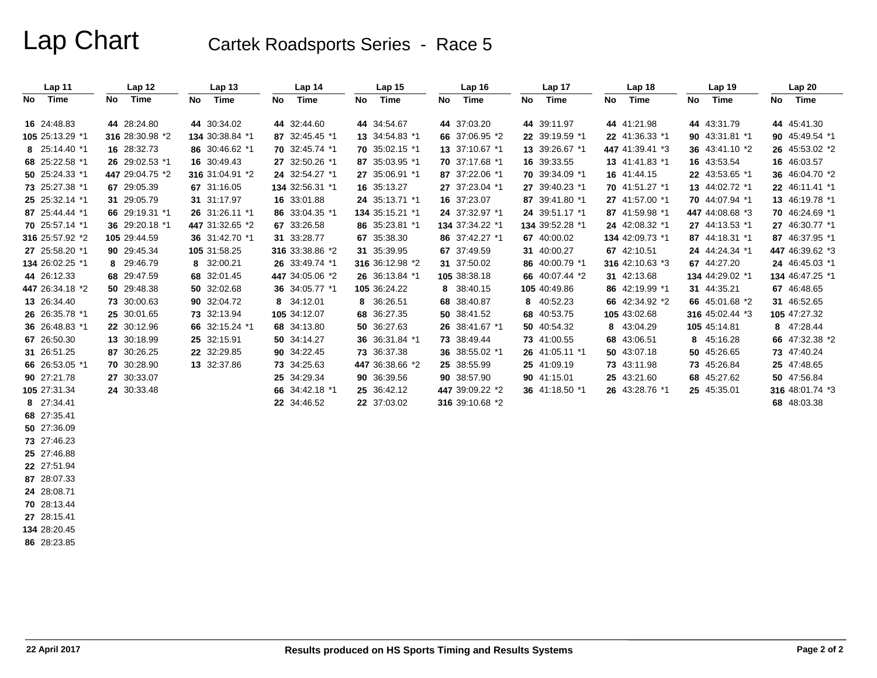# Lap Chart Cartek Roadsports Series - Race 5

| Lap 11          | Lap 12          | Lap <sub>13</sub> | Lap <sub>14</sub> | Lap <sub>15</sub> | Lap <sub>16</sub> | Lap 17          | Lap <sub>18</sub> | Lap <sub>19</sub> | Lap 20          |
|-----------------|-----------------|-------------------|-------------------|-------------------|-------------------|-----------------|-------------------|-------------------|-----------------|
| Time<br>No      | Time<br>No.     | Time<br>No        | Time<br>No        | Time<br>No        | Time<br>No        | No<br>Time      | Time<br>No        | Time<br>No        | Time<br>No      |
| 16 24:48.83     | 44 28:24.80     | 44 30:34.02       | 44 32:44.60       | 44 34:54.67       | 44 37:03.20       | 44 39:11.97     | 44 41:21.98       | 44 43:31.79       | 44 45:41.30     |
| 105 25:13.29 *1 | 316 28:30.98 *2 | 134 30:38.84 *1   | 87 32:45.45 *1    | 13 34:54.83 *1    | 66 37:06.95 *2    | 22 39:19.59 *1  | 22 41:36.33 *1    | 90 43:31.81 *1    | 90 45:49.54 *1  |
| 8 25:14.40 *1   | 16 28:32.73     | 86 30:46.62 *1    | 70 32:45.74 *1    | 70 35:02.15 *1    | 13 37:10.67 *1    | 13 39:26.67 *1  | 447 41:39.41 *3   | 36 43:41.10 *2    | 26 45:53.02 *2  |
| 68 25:22.58 *1  | 26 29:02.53 *1  | 16 30:49.43       | 27 32:50.26 *1    | 87 35:03.95 *1    | 70 37:17.68 *1    | 16 39:33.55     | 13 41:41.83 *1    | 16 43:53.54       | 16 46:03.57     |
| 50 25:24.33 *1  | 447 29:04.75 *2 | 316 31:04.91 *2   | 24 32:54.27 *1    | 27 35:06.91 *1    | 87 37:22.06 *1    | 70 39:34.09 *1  | 16 41:44.15       | 22 43:53.65 *1    | 36 46:04.70 *2  |
| 73 25:27.38 *1  | 67 29:05.39     | 67 31:16.05       | 134 32:56.31 *1   | 16 35:13.27       | 27 37:23.04 *1    | 27 39:40.23 *1  | 70 41:51.27 *1    | 13 44:02.72 *1    | 22 46:11.41 *1  |
| 25 25:32.14 *1  | 31 29:05.79     | 31 31:17.97       | 16 33:01.88       | 24 35:13.71 *1    | 16 37:23.07       | 87 39:41.80 *1  | 27 41:57.00 *1    | 70 44:07.94 *1    | 13 46:19.78 *1  |
| 87 25:44.44 *1  | 66 29:19.31 *1  | 26 31:26.11 *1    | 86 33:04.35 *1    | 134 35:15.21 *1   | 24 37:32.97 *1    | 24 39:51.17 *1  | 87 41:59.98 *1    | 447 44:08.68 *3   | 70 46:24.69 *1  |
| 70 25:57.14 *1  | 36 29:20.18 *1  | 447 31:32.65 *2   | 67 33:26.58       | 86 35:23.81 *1    | 134 37:34.22 *1   | 134 39:52.28 *1 | 24 42:08.32 *1    | 27 44:13.53 *1    | 27 46:30.77 *1  |
| 316 25:57.92 *2 | 105 29:44.59    | 36 31:42.70 *1    | 31 33:28.77       | 67 35:38.30       | 86 37:42.27 *1    | 67 40:00.02     | 134 42:09.73 *1   | 87 44:18.31 *1    | 87 46:37.95 *1  |
| 27 25:58.20 *1  | 90 29:45.34     | 105 31:58.25      | 316 33:38.86 *2   | 31 35:39.95       | 67 37:49.59       | 31 40:00.27     | 67 42:10.51       | 24 44:24.34 *1    | 447 46:39.62 *3 |
| 134 26:02.25 *1 | 8 29:46.79      | 8 32:00.21        | 26 33:49.74 *1    | 316 36:12.98 *2   | 31 37:50.02       | 86 40:00.79 *1  | 316 42:10.63 *3   | 67 44:27.20       | 24 46:45.03 *1  |
| 44 26:12.33     | 68 29:47.59     | 68 32:01.45       | 447 34:05.06 *2   | 26 36:13.84 *1    | 105 38:38.18      | 66 40:07.44 *2  | 31 42:13.68       | 134 44:29.02 *1   | 134 46:47.25 *1 |
| 447 26:34.18 *2 | 50 29:48.38     | 50 32:02.68       | 36 34:05.77 *1    | 105 36:24.22      | 8 38:40.15        | 105 40:49.86    | 86 42:19.99 *1    | 31 44:35.21       | 67 46:48.65     |
| 13 26:34.40     | 73 30:00.63     | 90 32:04.72       | 8 34:12.01        | 8 36:26.51        | 68 38:40.87       | 8 40:52.23      | 66 42:34.92 *2    | 66 45:01.68 *2    | 31 46:52.65     |
| 26 26:35.78 *1  | 25 30:01.65     | 73 32:13.94       | 105 34:12.07      | 68 36:27.35       | 50 38:41.52       | 68 40:53.75     | 105 43:02.68      | 316 45:02.44 *3   | 105 47:27.32    |
| 36 26:48.83 *1  | 22 30:12.96     | 66 32:15.24 *1    | 68 34:13.80       | 50 36:27.63       | 26 38:41.67 *1    | 50 40:54.32     | 8 43:04.29        | 105 45:14.81      | 8 47:28.44      |
| 67 26:50.30     | 13 30:18.99     | 25 32:15.91       | 50 34:14.27       | 36 36:31.84 *1    | 73 38:49.44       | 73 41:00.55     | 68 43:06.51       | 8 45:16.28        | 66 47:32.38 *2  |
| 31 26:51.25     | 87 30:26.25     | 22 32:29.85       | 90 34:22.45       | 73 36:37.38       | 36 38:55.02 *1    | 26 41:05.11 *1  | 50 43:07.18       | 50 45:26.65       | 73 47:40.24     |
| 66 26:53.05 *1  | 70 30:28.90     | 13 32:37.86       | 73 34:25.63       | 447 36:38.66 *2   | 25 38:55.99       | 25 41:09.19     | 73 43:11.98       | 73 45:26.84       | 25 47:48.65     |
| 90 27:21.78     | 27 30:33.07     |                   | 25 34:29.34       | 90 36:39.56       | 90 38:57.90       | 90 41:15.01     | 25 43:21.60       | 68 45:27.62       | 50 47:56.84     |
| 105 27:31.34    | 24 30:33.48     |                   | 66 34:42.18 *1    | 25 36:42.12       | 447 39:09.22 *2   | 36 41:18.50 *1  | 26 43:28.76 *1    | 25 45:35.01       | 316 48:01.74 *3 |
| 8 27:34.41      |                 |                   | 22 34:46.52       | 22 37:03.02       | 316 39:10.68 *2   |                 |                   |                   | 68 48:03.38     |
| 68 27:35.41     |                 |                   |                   |                   |                   |                 |                   |                   |                 |
| 50 27:36.09     |                 |                   |                   |                   |                   |                 |                   |                   |                 |
| 73 27:46.23     |                 |                   |                   |                   |                   |                 |                   |                   |                 |
| 25 27:46.88     |                 |                   |                   |                   |                   |                 |                   |                   |                 |
| 22 27:51.94     |                 |                   |                   |                   |                   |                 |                   |                   |                 |

**24** 28:08.71 **70** 28:13.44

**87** 28:07.33

**27** 28:15.41 **134** 28:20.45

**86** 28:23.85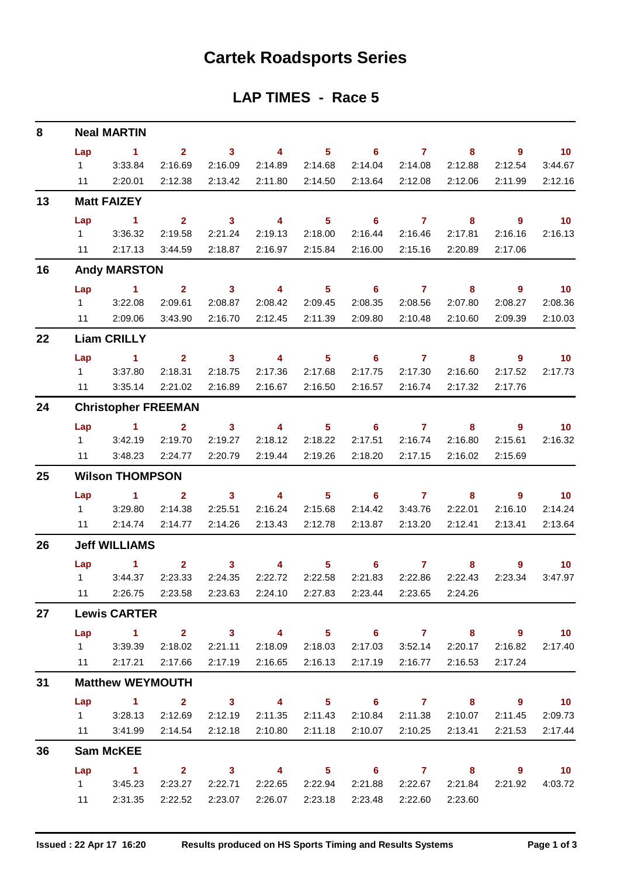# **Cartek Roadsports Series**

## **LAP TIMES - Race 5**

| 8  |                        | <b>Neal MARTIN</b>         |                |                         |                         |                 |                                   |                |                           |                            |                             |
|----|------------------------|----------------------------|----------------|-------------------------|-------------------------|-----------------|-----------------------------------|----------------|---------------------------|----------------------------|-----------------------------|
|    | Lap                    | $\sim$ 1.                  | $2^{\circ}$    | $\overline{\mathbf{3}}$ | $\overline{\mathbf{4}}$ | 5 <sub>1</sub>  | $\overline{6}$ and $\overline{7}$ |                | 8                         | $\overline{9}$             | $\overline{10}$             |
|    | $1 \quad$              | 3:33.84                    | 2:16.69        | 2:16.09                 | 2:14.89                 | 2:14.68         | 2:14.04                           | 2:14.08        | 2:12.88                   | 2:12.54                    | 3:44.67                     |
|    | 11                     | 2:20.01                    | 2:12.38        | 2:13.42                 | 2:11.80                 | 2:14.50         | 2:13.64                           | 2:12.08        | 2:12.06                   | 2:11.99                    | 2:12.16                     |
| 13 |                        | <b>Matt FAIZEY</b>         |                |                         |                         |                 |                                   |                |                           |                            |                             |
|    | Lap                    | $\sim$ 1                   | 2 <sup>1</sup> | $\sim$ 3                | $\overline{4}$          | 5 <sup>5</sup>  | $\overline{\phantom{0}}$ 6        | $\overline{7}$ | 8                         | $9^{\circ}$                | $\overline{10}$             |
|    | $1 \quad \Box$         | 3:36.32                    | 2:19.58        | 2:21.24                 | 2:19.13                 | 2:18.00         | 2:16.44                           | 2:16.46        | 2:17.81                   | 2:16.16                    | 2:16.13                     |
|    | 11                     | 2:17.13                    | 3:44.59        | 2:18.87                 | 2:16.97                 | 2:15.84         | 2:16.00                           | 2:15.16        | 2:20.89                   | 2:17.06                    |                             |
| 16 |                        | <b>Andy MARSTON</b>        |                |                         |                         |                 |                                   |                |                           |                            |                             |
|    | Lap                    | $\sim$ 1                   | $\mathbf{2}$   | $\overline{\mathbf{3}}$ |                         | 4 5 6           |                                   | $\overline{7}$ | 8                         | - 9                        | $\overline{\phantom{0}}$ 10 |
|    | $1 \quad \blacksquare$ | 3:22.08                    | 2:09.61        | 2:08.87                 | 2:08.42                 | 2:09.45         | 2:08.35                           | 2:08.56        | 2:07.80                   | 2:08.27                    | 2:08.36                     |
|    |                        | 11 2:09.06                 | 3:43.90        | 2:16.70                 | 2:12.45                 | 2:11.39         | 2:09.80                           | 2:10.48        | 2:10.60                   | 2:09.39                    | 2:10.03                     |
| 22 |                        | <b>Liam CRILLY</b>         |                |                         |                         |                 |                                   |                |                           |                            |                             |
|    | Lap                    | $\sim$ 1                   | 2 <sup>7</sup> | $\sim$ 3                | $\overline{\mathbf{4}}$ | 5 <sub>1</sub>  | 6                                 | $\overline{7}$ | 8                         | $\overline{\phantom{a}}$ 9 | $\overline{10}$             |
|    | $1 \quad \Box$         | 3:37.80                    | 2:18.31        | 2:18.75                 | 2:17.36                 | 2:17.68         | 2:17.75                           | 2:17.30        | 2:16.60                   | 2:17.52                    | 2:17.73                     |
|    | 11                     | 3:35.14                    | 2:21.02        | 2:16.89                 | 2:16.67                 | 2:16.50         | 2:16.57                           | 2:16.74        | 2:17.32                   | 2:17.76                    |                             |
| 24 |                        | <b>Christopher FREEMAN</b> |                |                         |                         |                 |                                   |                |                           |                            |                             |
|    | Lap                    | $\sim$ $-1$                | $\mathbf{2}$   | 3 <sup>7</sup>          | $\overline{\mathbf{4}}$ |                 | $5 \t\t 6$                        | $\overline{7}$ | 8                         | - 9                        | $\overline{\phantom{0}}$ 10 |
|    | $1 \quad \blacksquare$ | 3:42.19                    | 2:19.70        | 2:19.27                 | 2:18.12                 | 2:18.22         | 2:17.51                           | 2:16.74        | 2:16.80                   | 2:15.61                    | 2:16.32                     |
|    | 11                     | 3:48.23                    | 2:24.77        | 2:20.79                 | 2:19.44                 | 2:19.26         | 2:18.20                           | 2:17.15        | 2:16.02                   | 2:15.69                    |                             |
| 25 |                        | <b>Wilson THOMPSON</b>     |                |                         |                         |                 |                                   |                |                           |                            |                             |
|    | Lap                    | $\sim$ $\sim$ 1.           | 2 <sup>1</sup> | $\sim$ 3                | $\sim$ 4                | 5 <sub>1</sub>  | $\sim$ 6                          | $\overline{7}$ | 8                         | $9^{\circ}$                | $\overline{\phantom{0}}$ 10 |
|    |                        | 1 3:29.80                  | 2:14.38        | 2:25.51                 | 2:16.24                 | 2:15.68         | 2:14.42                           | 3:43.76        | 2:22.01                   | 2:16.10                    | 2:14.24                     |
|    | 11                     | 2:14.74                    | 2:14.77        | 2:14.26                 | 2:13.43                 | 2:12.78         | 2:13.87                           | 2:13.20        | 2:12.41                   | 2:13.41                    | 2:13.64                     |
| 26 |                        | <b>Jeff WILLIAMS</b>       |                |                         |                         |                 |                                   |                |                           |                            |                             |
|    |                        | <b>Lap</b><br>$\mathbf{1}$ | $\mathbf{2}$   | 3 <sup>1</sup>          | 4                       | 5 <sup>5</sup>  | $6^{\circ}$                       | $\mathbf{7}$   | 8                         | $\overline{9}$             | $\overline{\mathbf{10}}$    |
|    | $1 \quad \Box$         | 3:44.37                    | 2:23.33        | 2:24.35                 | 2:22.72                 | 2:22.58         | 2:21.83                           | 2:22.86        | 2:22.43                   | 2:23.34                    | 3:47.97                     |
|    | 11                     | 2:26.75                    |                | 2:23.58 2:23.63         | 2:24.10                 | 2:27.83         | 2:23.44                           | 2:23.65        | 2:24.26                   |                            |                             |
| 27 |                        | <b>Lewis CARTER</b>        |                |                         |                         |                 |                                   |                |                           |                            |                             |
|    |                        | Lap 1 2 3 4 5 6 7 8 9 10   |                |                         |                         |                 |                                   |                |                           |                            |                             |
|    | $1 \quad \Box$         | 3:39.39                    | 2:18.02        | 2:21.11                 | 2:18.09                 | 2:18.03         | 2:17.03                           | 3:52.14        | 2:20.17                   | 2:16.82                    | 2:17.40                     |
|    |                        | 11 2:17.21                 | 2:17.66        | 2:17.19                 | 2:16.65                 | 2:16.13         | 2:17.19                           | 2:16.77        | 2:16.53                   | 2:17.24                    |                             |
| 31 |                        | <b>Matthew WEYMOUTH</b>    |                |                         |                         |                 |                                   |                |                           |                            |                             |
|    | Lap                    | $\sim$ $-1$                | $\mathbf{2}$   | $\overline{\mathbf{3}}$ |                         |                 | 4 5 6 7 8 9 10                    |                |                           |                            |                             |
|    |                        | $1 \t3:28.13$              | 2:12.69        | 2:12.19                 |                         | 2:11.35 2:11.43 |                                   |                | 2:10.84  2:11.38  2:10.07 | 2:11.45                    | 2:09.73                     |
|    | 11                     | 3:41.99                    | 2:14.54        | 2:12.18                 | 2:10.80                 | 2:11.18         | 2:10.07                           | 2:10.25        | 2:13.41                   | 2:21.53                    | 2:17.44                     |
| 36 |                        | <b>Sam McKEE</b>           |                |                         |                         |                 |                                   |                |                           |                            |                             |
|    | Lap                    | $\sim$ $-1$                |                |                         |                         |                 | 2 3 4 5 6 7 8 9 10                |                |                           |                            |                             |
|    | $1 \quad \Box$         | 3:45.23                    | 2:23.27        | 2:22.71                 | 2:22.65                 | 2:22.94         | 2:21.88                           | 2:22.67        | 2:21.84                   |                            | 2:21.92 4:03.72             |
|    | 11                     | 2:31.35                    | 2:22.52        | 2:23.07                 | 2:26.07                 | 2:23.18         | 2:23.48                           | 2:22.60        | 2:23.60                   |                            |                             |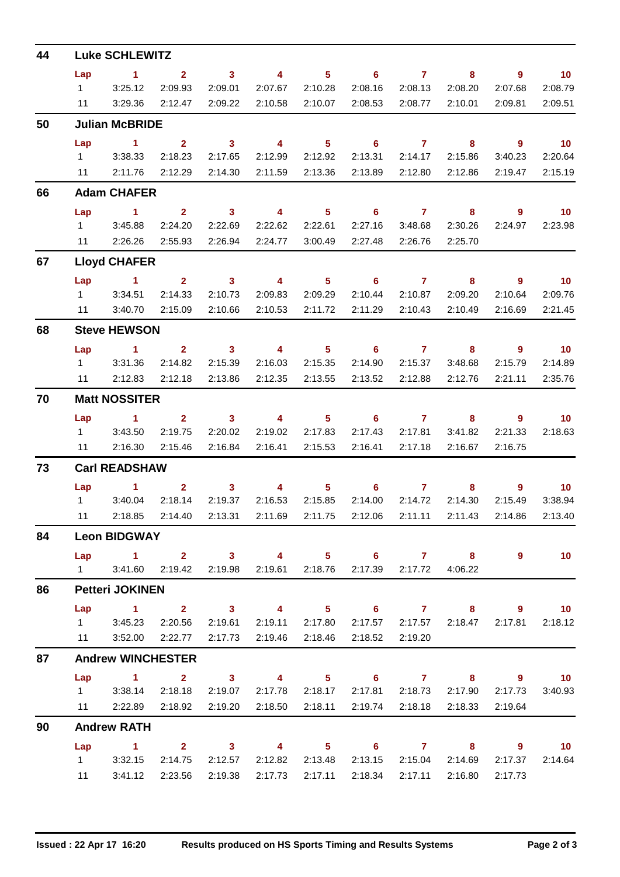| 44 |                | <b>Luke SCHLEWITZ</b>                                                              |             |                                                                                                                                                                                                                                                                                                                                                                                                                |                         |                                                                                                                                                                                                                                                                                                                                    |                                                  |                                                                                                                                                                                                                                                                                                                                    |                           |                            |                          |
|----|----------------|------------------------------------------------------------------------------------|-------------|----------------------------------------------------------------------------------------------------------------------------------------------------------------------------------------------------------------------------------------------------------------------------------------------------------------------------------------------------------------------------------------------------------------|-------------------------|------------------------------------------------------------------------------------------------------------------------------------------------------------------------------------------------------------------------------------------------------------------------------------------------------------------------------------|--------------------------------------------------|------------------------------------------------------------------------------------------------------------------------------------------------------------------------------------------------------------------------------------------------------------------------------------------------------------------------------------|---------------------------|----------------------------|--------------------------|
|    | Lap            | $\sim$ 1                                                                           | $2^{\circ}$ | $\sim$ 3                                                                                                                                                                                                                                                                                                                                                                                                       | $\sim$ 4 and $\sim$     |                                                                                                                                                                                                                                                                                                                                    | $5 \t\t 6 \t\t 7$                                |                                                                                                                                                                                                                                                                                                                                    | 8                         | $\overline{9}$             | $\overline{10}$          |
|    | $1 \quad \Box$ | 3:25.12                                                                            | 2:09.93     | 2:09.01                                                                                                                                                                                                                                                                                                                                                                                                        | 2:07.67                 | 2:10.28                                                                                                                                                                                                                                                                                                                            | 2:08.16                                          | 2:08.13                                                                                                                                                                                                                                                                                                                            | 2:08.20                   | 2:07.68                    | 2:08.79                  |
|    | 11             | 3:29.36                                                                            | 2:12.47     | 2:09.22                                                                                                                                                                                                                                                                                                                                                                                                        |                         | 2:10.58 2:10.07                                                                                                                                                                                                                                                                                                                    | 2:08.53                                          | 2:08.77                                                                                                                                                                                                                                                                                                                            | 2:10.01                   | 2:09.81                    | 2:09.51                  |
| 50 |                | <b>Julian McBRIDE</b>                                                              |             |                                                                                                                                                                                                                                                                                                                                                                                                                |                         |                                                                                                                                                                                                                                                                                                                                    |                                                  |                                                                                                                                                                                                                                                                                                                                    |                           |                            |                          |
|    | Lap            | $\sim$ 1                                                                           | $2^{\circ}$ | $\sim$ 3                                                                                                                                                                                                                                                                                                                                                                                                       | $\overline{\mathbf{4}}$ | $5 -$                                                                                                                                                                                                                                                                                                                              | $\overline{\phantom{0}}$ 6                       | $\overline{7}$                                                                                                                                                                                                                                                                                                                     | 8                         | $\overline{\phantom{a}}$ 9 | $\overline{10}$          |
|    |                | 1 3:38.33                                                                          | 2:18.23     | 2:17.65                                                                                                                                                                                                                                                                                                                                                                                                        | 2:12.99                 | 2:12.92                                                                                                                                                                                                                                                                                                                            |                                                  | 2:13.31 2:14.17                                                                                                                                                                                                                                                                                                                    | 2:15.86                   | 3:40.23                    | 2:20.64                  |
|    |                | 11 2:11.76                                                                         | 2:12.29     | 2:14.30                                                                                                                                                                                                                                                                                                                                                                                                        | 2:11.59                 | 2:13.36                                                                                                                                                                                                                                                                                                                            | 2:13.89                                          | 2:12.80                                                                                                                                                                                                                                                                                                                            | 2:12.86                   | 2:19.47                    | 2:15.19                  |
| 66 |                | <b>Adam CHAFER</b>                                                                 |             |                                                                                                                                                                                                                                                                                                                                                                                                                |                         |                                                                                                                                                                                                                                                                                                                                    |                                                  |                                                                                                                                                                                                                                                                                                                                    |                           |                            |                          |
|    | Lap            | $\sim$ 1                                                                           |             |                                                                                                                                                                                                                                                                                                                                                                                                                |                         |                                                                                                                                                                                                                                                                                                                                    | 2 3 4 5 6 7                                      |                                                                                                                                                                                                                                                                                                                                    | 8                         | 9                          | $\overline{10}$          |
|    |                | 13:45.88                                                                           | 2:24.20     | 2:22.69                                                                                                                                                                                                                                                                                                                                                                                                        | 2:22.62                 | 2:22.61                                                                                                                                                                                                                                                                                                                            | 2:27.16                                          | 3:48.68                                                                                                                                                                                                                                                                                                                            | 2:30.26                   | 2:24.97                    | 2:23.98                  |
|    | 11             | 2:26.26                                                                            | 2:55.93     | 2:26.94                                                                                                                                                                                                                                                                                                                                                                                                        | 2:24.77                 | 3:00.49                                                                                                                                                                                                                                                                                                                            |                                                  | 2:27.48 2:26.76                                                                                                                                                                                                                                                                                                                    | 2:25.70                   |                            |                          |
| 67 |                | <b>Lloyd CHAFER</b>                                                                |             |                                                                                                                                                                                                                                                                                                                                                                                                                |                         |                                                                                                                                                                                                                                                                                                                                    |                                                  |                                                                                                                                                                                                                                                                                                                                    |                           |                            |                          |
|    | Lap            | $\sim$ $\sim$ 1.                                                                   |             | $2 \qquad \qquad 3$                                                                                                                                                                                                                                                                                                                                                                                            | $\sim$ 4                | $5 -$                                                                                                                                                                                                                                                                                                                              | $\sim$ 6                                         | $\overline{7}$ and $\overline{7}$ and $\overline{7}$ and $\overline{7}$ and $\overline{7}$ and $\overline{7}$ and $\overline{7}$ and $\overline{7}$ and $\overline{7}$ and $\overline{7}$ and $\overline{7}$ and $\overline{7}$ and $\overline{7}$ and $\overline{7}$ and $\overline{7}$ and $\overline{7}$ and $\overline{7}$ and | 8                         | $9^{\circ}$                | $\overline{10}$          |
|    |                | 1 3:34.51                                                                          | 2:14.33     | 2:10.73                                                                                                                                                                                                                                                                                                                                                                                                        | 2:09.83                 | 2:09.29                                                                                                                                                                                                                                                                                                                            |                                                  | 2:10.44 2:10.87                                                                                                                                                                                                                                                                                                                    | 2:09.20                   | 2:10.64                    | 2:09.76                  |
|    |                | 11 3:40.70                                                                         | 2:15.09     | 2:10.66                                                                                                                                                                                                                                                                                                                                                                                                        | 2:10.53                 | 2:11.72                                                                                                                                                                                                                                                                                                                            | 2:11.29                                          | 2:10.43                                                                                                                                                                                                                                                                                                                            | 2:10.49                   | 2:16.69                    | 2:21.45                  |
| 68 |                | <b>Steve HEWSON</b>                                                                |             |                                                                                                                                                                                                                                                                                                                                                                                                                |                         |                                                                                                                                                                                                                                                                                                                                    |                                                  |                                                                                                                                                                                                                                                                                                                                    |                           |                            |                          |
|    | Lap            | <b>Contract 1</b> Service 1                                                        |             |                                                                                                                                                                                                                                                                                                                                                                                                                |                         |                                                                                                                                                                                                                                                                                                                                    | $2 \qquad 3 \qquad 4 \qquad 5 \qquad 6 \qquad 7$ |                                                                                                                                                                                                                                                                                                                                    | 8                         | 9                          | $\overline{\mathbf{10}}$ |
|    |                | 1 3:31.36                                                                          | 2:14.82     | 2:15.39                                                                                                                                                                                                                                                                                                                                                                                                        | 2:16.03                 | 2:15.35                                                                                                                                                                                                                                                                                                                            | 2:14.90                                          | 2:15.37                                                                                                                                                                                                                                                                                                                            | 3:48.68                   | 2:15.79                    | 2:14.89                  |
|    | 11             | 2:12.83                                                                            | 2:12.18     | 2:13.86                                                                                                                                                                                                                                                                                                                                                                                                        | 2:12.35                 | 2:13.55                                                                                                                                                                                                                                                                                                                            | 2:13.52                                          | 2:12.88                                                                                                                                                                                                                                                                                                                            | 2:12.76                   | 2:21.11                    | 2:35.76                  |
| 70 |                | <b>Matt NOSSITER</b>                                                               |             |                                                                                                                                                                                                                                                                                                                                                                                                                |                         |                                                                                                                                                                                                                                                                                                                                    |                                                  |                                                                                                                                                                                                                                                                                                                                    |                           |                            |                          |
|    | Lap            | $\sim$ 1                                                                           |             | $2 \t 3$                                                                                                                                                                                                                                                                                                                                                                                                       | $\sim$ 4                |                                                                                                                                                                                                                                                                                                                                    | $5 \t\t 6 \t\t 7$                                |                                                                                                                                                                                                                                                                                                                                    |                           | 8 9                        | 10 <sub>1</sub>          |
|    |                | 1 3:43.50                                                                          | 2:19.75     | 2:20.02                                                                                                                                                                                                                                                                                                                                                                                                        | 2:19.02                 | 2:17.83                                                                                                                                                                                                                                                                                                                            | 2:17.43                                          | 2:17.81                                                                                                                                                                                                                                                                                                                            | 3:41.82                   | 2:21.33                    | 2:18.63                  |
|    | 11             | 2:16.30                                                                            | 2:15.46     | 2:16.84                                                                                                                                                                                                                                                                                                                                                                                                        | 2:16.41                 | 2:15.53                                                                                                                                                                                                                                                                                                                            | 2:16.41                                          | 2:17.18                                                                                                                                                                                                                                                                                                                            | 2:16.67                   | 2:16.75                    |                          |
| 73 |                | <b>Carl READSHAW</b>                                                               |             |                                                                                                                                                                                                                                                                                                                                                                                                                |                         |                                                                                                                                                                                                                                                                                                                                    |                                                  |                                                                                                                                                                                                                                                                                                                                    |                           |                            |                          |
|    |                | $Lap$ 1                                                                            |             | $\overline{\mathbf{2}}$ and $\overline{\mathbf{2}}$ and $\overline{\mathbf{2}}$ and $\overline{\mathbf{2}}$ and $\overline{\mathbf{2}}$ and $\overline{\mathbf{2}}$ and $\overline{\mathbf{2}}$ and $\overline{\mathbf{2}}$ and $\overline{\mathbf{2}}$ and $\overline{\mathbf{2}}$ and $\overline{\mathbf{2}}$ and $\overline{\mathbf{2}}$ and $\overline{\mathbf{2}}$ and $\overline{\mathbf{2}}$ a<br>$3 -$ |                         | $\overline{4}$ and $\overline{4}$ and $\overline{4}$ and $\overline{4}$ and $\overline{4}$ and $\overline{4}$ and $\overline{4}$ and $\overline{4}$ and $\overline{4}$ and $\overline{4}$ and $\overline{4}$ and $\overline{4}$ and $\overline{4}$ and $\overline{4}$ and $\overline{4}$ and $\overline{4}$ and $\overline{4}$ and | $5 \t\t 6 \t\t 7$                                |                                                                                                                                                                                                                                                                                                                                    |                           |                            | $9 \t 10$                |
|    |                | 1 3:40.04                                                                          | 2:18.14     | 2:19.37                                                                                                                                                                                                                                                                                                                                                                                                        | 2:16.53                 | 2:15.85                                                                                                                                                                                                                                                                                                                            | 2:14.00                                          | 2:14.72                                                                                                                                                                                                                                                                                                                            | 2:14.30                   | 2:15.49                    | 3:38.94                  |
|    |                | 11   2:18.85   2:14.40   2:13.31   2:11.69   2:11.75   2:12.06   2:11.11   2:11.43 |             |                                                                                                                                                                                                                                                                                                                                                                                                                |                         |                                                                                                                                                                                                                                                                                                                                    |                                                  |                                                                                                                                                                                                                                                                                                                                    |                           |                            | 2:14.86 2:13.40          |
| 84 |                | <b>Leon BIDGWAY</b>                                                                |             |                                                                                                                                                                                                                                                                                                                                                                                                                |                         |                                                                                                                                                                                                                                                                                                                                    |                                                  |                                                                                                                                                                                                                                                                                                                                    |                           |                            |                          |
|    |                | Lap 1 2 3 4 5 6 7 8                                                                |             |                                                                                                                                                                                                                                                                                                                                                                                                                |                         |                                                                                                                                                                                                                                                                                                                                    |                                                  |                                                                                                                                                                                                                                                                                                                                    |                           | $\overline{9}$             | 10                       |
|    |                | 1 3:41.60 2:19.42 2:19.98 2:19.61 2:18.76                                          |             |                                                                                                                                                                                                                                                                                                                                                                                                                |                         |                                                                                                                                                                                                                                                                                                                                    |                                                  | 2:17.39 2:17.72 4:06.22                                                                                                                                                                                                                                                                                                            |                           |                            |                          |
| 86 |                | <b>Petteri JOKINEN</b>                                                             |             |                                                                                                                                                                                                                                                                                                                                                                                                                |                         |                                                                                                                                                                                                                                                                                                                                    |                                                  |                                                                                                                                                                                                                                                                                                                                    |                           |                            |                          |
|    |                | Lap 1 2 3 4 5 6 7 8 9 10                                                           |             |                                                                                                                                                                                                                                                                                                                                                                                                                |                         |                                                                                                                                                                                                                                                                                                                                    |                                                  |                                                                                                                                                                                                                                                                                                                                    |                           |                            |                          |
|    |                | 1 3:45.23 2:20.56                                                                  |             | 2:19.61                                                                                                                                                                                                                                                                                                                                                                                                        |                         | 2:19.11 2:17.80                                                                                                                                                                                                                                                                                                                    |                                                  |                                                                                                                                                                                                                                                                                                                                    | 2:17.57  2:17.57  2:18.47 | 2:17.81                    | 2:18.12                  |
|    |                | 11 3:52.00 2:22.77                                                                 |             |                                                                                                                                                                                                                                                                                                                                                                                                                | 2:17.73 2:19.46 2:18.46 |                                                                                                                                                                                                                                                                                                                                    |                                                  | 2:18.52 2:19.20                                                                                                                                                                                                                                                                                                                    |                           |                            |                          |
| 87 |                | <b>Andrew WINCHESTER</b>                                                           |             |                                                                                                                                                                                                                                                                                                                                                                                                                |                         |                                                                                                                                                                                                                                                                                                                                    |                                                  |                                                                                                                                                                                                                                                                                                                                    |                           |                            |                          |
|    |                | Lap 1 2 3 4 5 6 7 8 9 10                                                           |             |                                                                                                                                                                                                                                                                                                                                                                                                                |                         |                                                                                                                                                                                                                                                                                                                                    |                                                  |                                                                                                                                                                                                                                                                                                                                    |                           |                            |                          |
|    |                | 1 3:38.14 2:18.18                                                                  |             | 2:19.07                                                                                                                                                                                                                                                                                                                                                                                                        |                         | 2:17.78 2:18.17                                                                                                                                                                                                                                                                                                                    |                                                  | 2:17.81 2:18.73                                                                                                                                                                                                                                                                                                                    | 2:17.90                   | 2:17.73                    | 3:40.93                  |
|    |                | 11 2:22.89 2:18.92                                                                 |             | 2:19.20                                                                                                                                                                                                                                                                                                                                                                                                        | 2:18.50                 | 2:18.11                                                                                                                                                                                                                                                                                                                            |                                                  | 2:19.74 2:18.18                                                                                                                                                                                                                                                                                                                    | 2:18.33                   | 2:19.64                    |                          |
| 90 |                | <b>Andrew RATH</b>                                                                 |             |                                                                                                                                                                                                                                                                                                                                                                                                                |                         |                                                                                                                                                                                                                                                                                                                                    |                                                  |                                                                                                                                                                                                                                                                                                                                    |                           |                            |                          |
|    |                | Lap 1 2 3 4 5 6 7 8 9 10<br>$1 \t3:32.15$                                          | 2:14.75     | 2:12.57                                                                                                                                                                                                                                                                                                                                                                                                        |                         | 2:12.82 2:13.48                                                                                                                                                                                                                                                                                                                    |                                                  | 2:13.15 2:15.04                                                                                                                                                                                                                                                                                                                    | 2:14.69                   | 2:17.37                    | 2:14.64                  |
|    |                | 11   3:41.12   2:23.56                                                             |             | 2:19.38                                                                                                                                                                                                                                                                                                                                                                                                        | 2:17.73                 | 2:17.11                                                                                                                                                                                                                                                                                                                            | 2:18.34                                          | 2:17.11                                                                                                                                                                                                                                                                                                                            | 2:16.80                   | 2:17.73                    |                          |
|    |                |                                                                                    |             |                                                                                                                                                                                                                                                                                                                                                                                                                |                         |                                                                                                                                                                                                                                                                                                                                    |                                                  |                                                                                                                                                                                                                                                                                                                                    |                           |                            |                          |